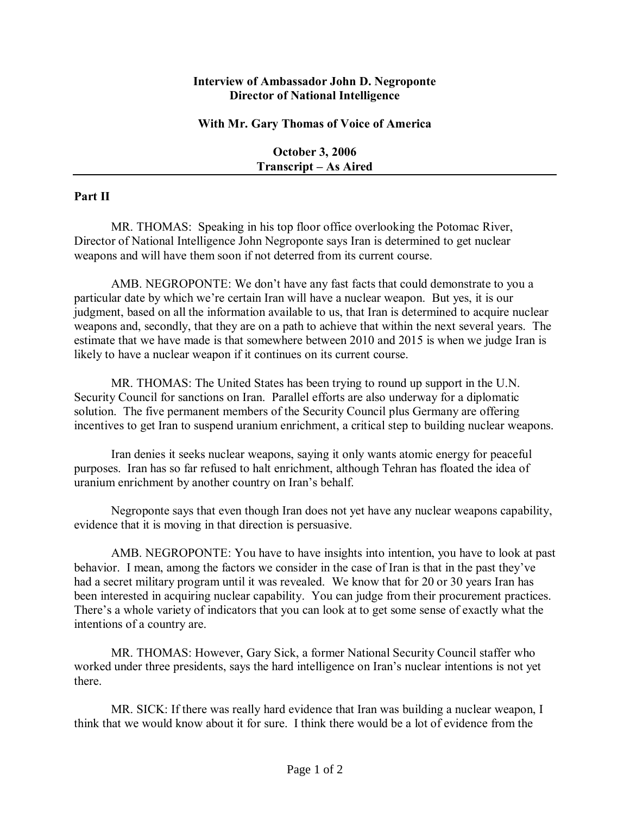## **Interview of Ambassador John D. Negroponte Director of National Intelligence**

## **With Mr. Gary Thomas of Voice of America**

**October 3, 2006 Transcript – As Aired** 

## **Part II**

MR. THOMAS: Speaking in his top floor office overlooking the Potomac River, Director of National Intelligence John Negroponte says Iran is determined to get nuclear weapons and will have them soon if not deterred from its current course.

AMB. NEGROPONTE: We don't have any fast facts that could demonstrate to you a particular date by which we're certain Iran will have a nuclear weapon. But yes, it is our judgment, based on all the information available to us, that Iran is determined to acquire nuclear weapons and, secondly, that they are on a path to achieve that within the next several years. The estimate that we have made is that somewhere between 2010 and 2015 is when we judge Iran is likely to have a nuclear weapon if it continues on its current course.

MR. THOMAS: The United States has been trying to round up support in the U.N. Security Council for sanctions on Iran. Parallel efforts are also underway for a diplomatic solution. The five permanent members of the Security Council plus Germany are offering incentives to get Iran to suspend uranium enrichment, a critical step to building nuclear weapons.

Iran denies it seeks nuclear weapons, saying it only wants atomic energy for peaceful purposes. Iran has so far refused to halt enrichment, although Tehran has floated the idea of uranium enrichment by another country on Iran's behalf.

Negroponte says that even though Iran does not yet have any nuclear weapons capability, evidence that it is moving in that direction is persuasive.

AMB. NEGROPONTE: You have to have insights into intention, you have to look at past behavior. I mean, among the factors we consider in the case of Iran is that in the past they've had a secret military program until it was revealed. We know that for 20 or 30 years Iran has been interested in acquiring nuclear capability. You can judge from their procurement practices. There's a whole variety of indicators that you can look at to get some sense of exactly what the intentions of a country are.

MR. THOMAS: However, Gary Sick, a former National Security Council staffer who worked under three presidents, says the hard intelligence on Iran's nuclear intentions is not yet there.

MR. SICK: If there was really hard evidence that Iran was building a nuclear weapon, I think that we would know about it for sure. I think there would be a lot of evidence from the